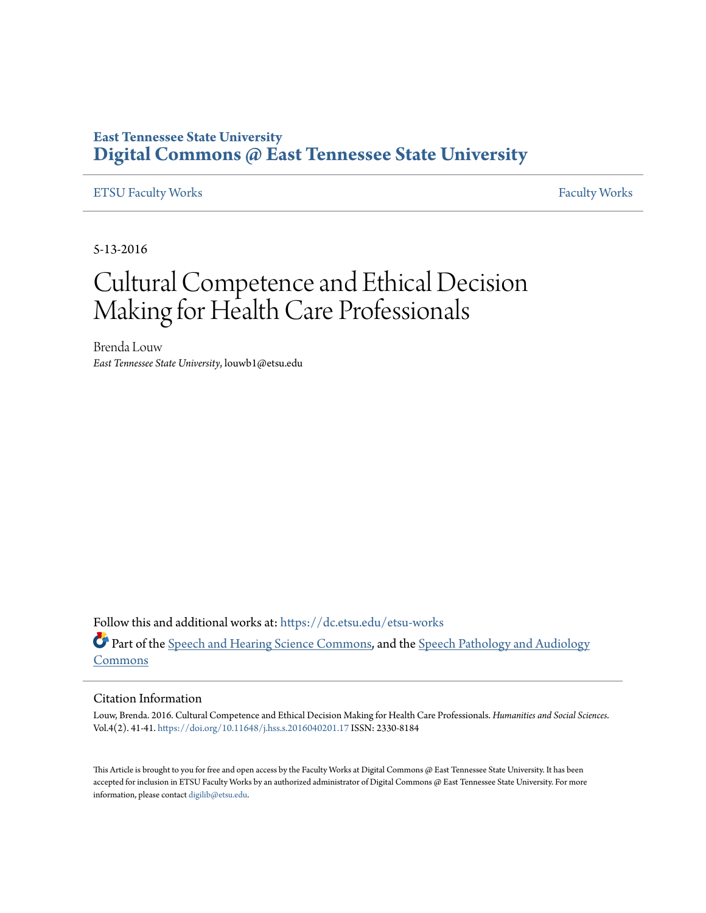## **East Tennessee State University [Digital Commons @ East Tennessee State University](https://dc.etsu.edu?utm_source=dc.etsu.edu%2Fetsu-works%2F1984&utm_medium=PDF&utm_campaign=PDFCoverPages)**

## [ETSU Faculty Works](https://dc.etsu.edu/etsu-works?utm_source=dc.etsu.edu%2Fetsu-works%2F1984&utm_medium=PDF&utm_campaign=PDFCoverPages) [Faculty Works](https://dc.etsu.edu/faculty-works?utm_source=dc.etsu.edu%2Fetsu-works%2F1984&utm_medium=PDF&utm_campaign=PDFCoverPages) Faculty Works

5-13-2016

# Cultural Competence and Ethical Decision Making for Health Care Professionals

Brenda Louw *East Tennessee State University*, louwb1@etsu.edu

Follow this and additional works at: [https://dc.etsu.edu/etsu-works](https://dc.etsu.edu/etsu-works?utm_source=dc.etsu.edu%2Fetsu-works%2F1984&utm_medium=PDF&utm_campaign=PDFCoverPages) Part of the [Speech and Hearing Science Commons](http://network.bepress.com/hgg/discipline/1033?utm_source=dc.etsu.edu%2Fetsu-works%2F1984&utm_medium=PDF&utm_campaign=PDFCoverPages), and the [Speech Pathology and Audiology](http://network.bepress.com/hgg/discipline/1035?utm_source=dc.etsu.edu%2Fetsu-works%2F1984&utm_medium=PDF&utm_campaign=PDFCoverPages) [Commons](http://network.bepress.com/hgg/discipline/1035?utm_source=dc.etsu.edu%2Fetsu-works%2F1984&utm_medium=PDF&utm_campaign=PDFCoverPages)

#### Citation Information

Louw, Brenda. 2016. Cultural Competence and Ethical Decision Making for Health Care Professionals. *Humanities and Social Sciences*. Vol.4(2). 41-41. <https://doi.org/10.11648/j.hss.s.2016040201.17> ISSN: 2330-8184

This Article is brought to you for free and open access by the Faculty Works at Digital Commons @ East Tennessee State University. It has been accepted for inclusion in ETSU Faculty Works by an authorized administrator of Digital Commons @ East Tennessee State University. For more information, please contact [digilib@etsu.edu.](mailto:digilib@etsu.edu)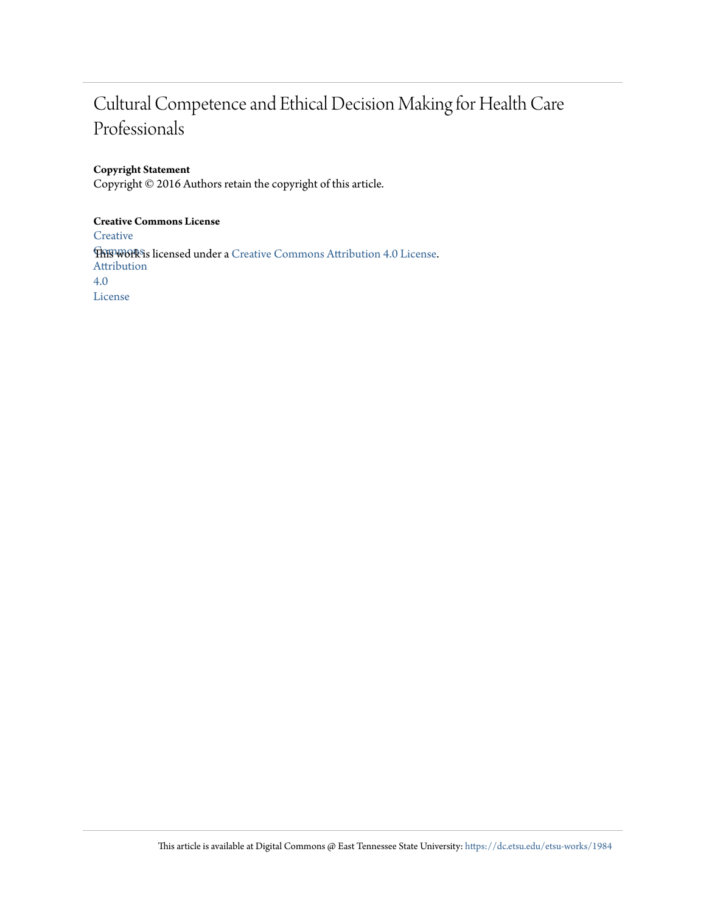## Cultural Competence and Ethical Decision Making for Health Care Professionals

#### **Copyright Statement**

Copyright © 2016 Authors retain the copyright of this article.

#### **Creative Commons License**

**[Creative](http://creativecommons.org/licenses/by/4.0/) This work is licensed under a** [Creative Commons Attribution 4.0 License.](http://creativecommons.org/licenses/by/4.0/) Attribution 4.0 License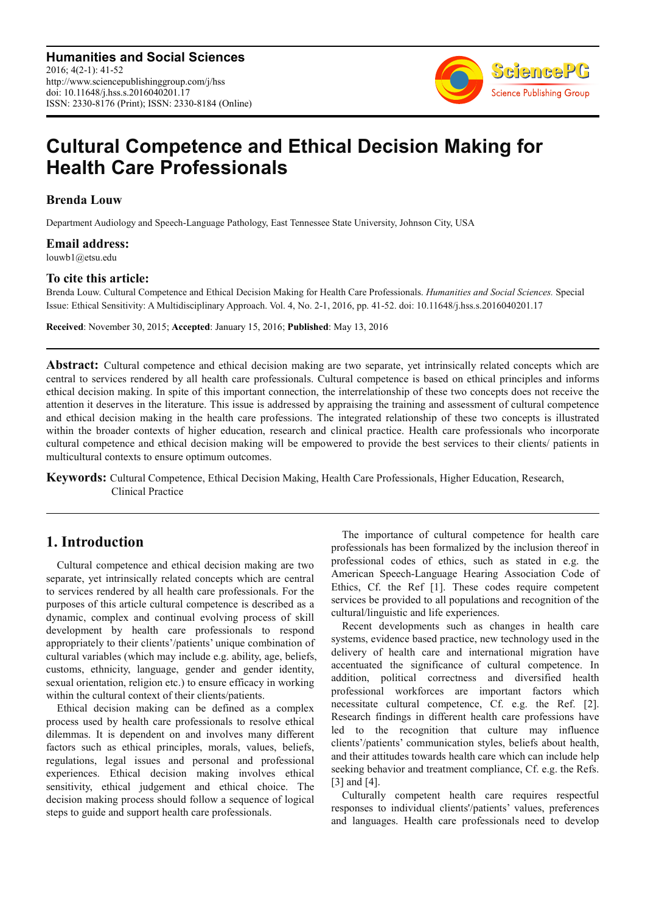**Humanities and Social Sciences** 2016; 4(2-1): 41-52 http://www.sciencepublishinggroup.com/j/hss doi: 10.11648/j.hss.s.2016040201.17 ISSN: 2330-8176 (Print); ISSN: 2330-8184 (Online)



## **Cultural Competence and Ethical Decision Making for Health Care Professionals**

**Brenda Louw** 

Department Audiology and Speech-Language Pathology, East Tennessee State University, Johnson City, USA

**Email address:** 

louwb1@etsu.edu

#### **To cite this article:**

Brenda Louw. Cultural Competence and Ethical Decision Making for Health Care Professionals. *Humanities and Social Sciences.* Special Issue: Ethical Sensitivity: A Multidisciplinary Approach. Vol. 4, No. 2-1, 2016, pp. 41-52. doi: 10.11648/j.hss.s.2016040201.17

**Received**: November 30, 2015; **Accepted**: January 15, 2016; **Published**: May 13, 2016

**Abstract:** Cultural competence and ethical decision making are two separate, yet intrinsically related concepts which are central to services rendered by all health care professionals. Cultural competence is based on ethical principles and informs ethical decision making. In spite of this important connection, the interrelationship of these two concepts does not receive the attention it deserves in the literature. This issue is addressed by appraising the training and assessment of cultural competence and ethical decision making in the health care professions. The integrated relationship of these two concepts is illustrated within the broader contexts of higher education, research and clinical practice. Health care professionals who incorporate cultural competence and ethical decision making will be empowered to provide the best services to their clients/ patients in multicultural contexts to ensure optimum outcomes.

**Keywords:** Cultural Competence, Ethical Decision Making, Health Care Professionals, Higher Education, Research, Clinical Practice

## **1. Introduction**

Cultural competence and ethical decision making are two separate, yet intrinsically related concepts which are central to services rendered by all health care professionals. For the purposes of this article cultural competence is described as a dynamic, complex and continual evolving process of skill development by health care professionals to respond appropriately to their clients'/patients' unique combination of cultural variables (which may include e.g. ability, age, beliefs, customs, ethnicity, language, gender and gender identity, sexual orientation, religion etc.) to ensure efficacy in working within the cultural context of their clients/patients.

Ethical decision making can be defined as a complex process used by health care professionals to resolve ethical dilemmas. It is dependent on and involves many different factors such as ethical principles, morals, values, beliefs, regulations, legal issues and personal and professional experiences. Ethical decision making involves ethical sensitivity, ethical judgement and ethical choice. The decision making process should follow a sequence of logical steps to guide and support health care professionals.

The importance of cultural competence for health care professionals has been formalized by the inclusion thereof in professional codes of ethics, such as stated in e.g. the American Speech-Language Hearing Association Code of Ethics, Cf. the Ref [1]. These codes require competent services be provided to all populations and recognition of the cultural/linguistic and life experiences.

Recent developments such as changes in health care systems, evidence based practice, new technology used in the delivery of health care and international migration have accentuated the significance of cultural competence. In addition, political correctness and diversified health professional workforces are important factors which necessitate cultural competence, Cf. e.g. the Ref. [2]. Research findings in different health care professions have led to the recognition that culture may influence clients'/patients' communication styles, beliefs about health, and their attitudes towards health care which can include help seeking behavior and treatment compliance, Cf. e.g. the Refs. [3] and [4].

Culturally competent health care requires respectful responses to individual clients'/patients' values, preferences and languages. Health care professionals need to develop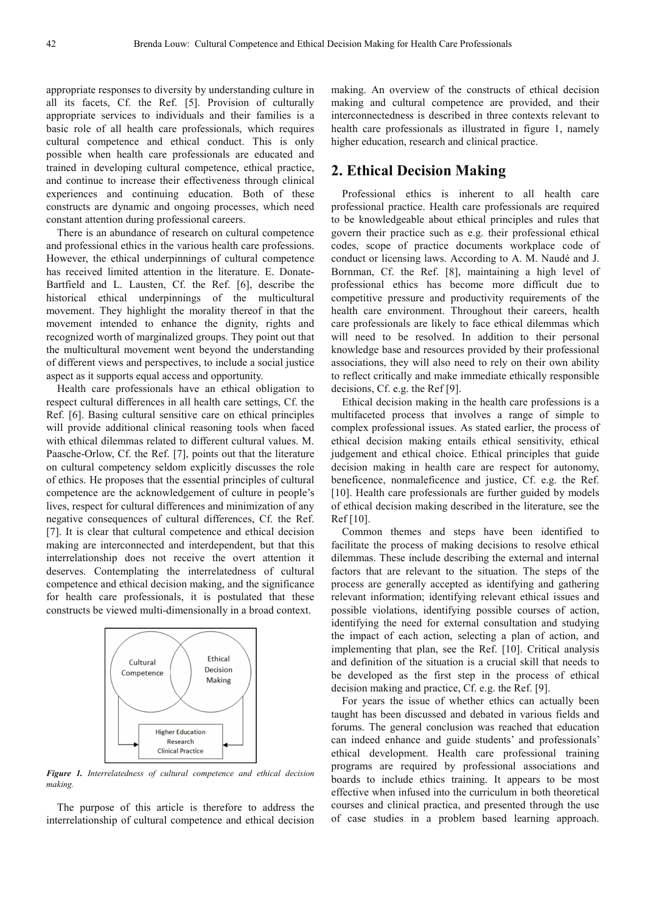appropriate responses to diversity by understanding culture in all its facets, Cf. the Ref. [5]. Provision of culturally appropriate services to individuals and their families is a basic role of all health care professionals, which requires cultural competence and ethical conduct. This is only possible when health care professionals are educated and trained in developing cultural competence, ethical practice, and continue to increase their effectiveness through clinical experiences and continuing education. Both of these constructs are dynamic and ongoing processes, which need constant attention during professional careers.

There is an abundance of research on cultural competence and professional ethics in the various health care professions. However, the ethical underpinnings of cultural competence has received limited attention in the literature. E. Donate-Bartfield and L. Lausten, Cf. the Ref. [6], describe the historical ethical underpinnings of the multicultural movement. They highlight the morality thereof in that the movement intended to enhance the dignity, rights and recognized worth of marginalized groups. They point out that the multicultural movement went beyond the understanding of different views and perspectives, to include a social justice aspect as it supports equal access and opportunity.

Health care professionals have an ethical obligation to respect cultural differences in all health care settings, Cf. the Ref. [6]. Basing cultural sensitive care on ethical principles will provide additional clinical reasoning tools when faced with ethical dilemmas related to different cultural values. M. Paasche-Orlow, Cf. the Ref. [7], points out that the literature on cultural competency seldom explicitly discusses the role of ethics. He proposes that the essential principles of cultural competence are the acknowledgement of culture in people's lives, respect for cultural differences and minimization of any negative consequences of cultural differences, Cf. the Ref. [7]. It is clear that cultural competence and ethical decision making are interconnected and interdependent, but that this interrelationship does not receive the overt attention it deserves. Contemplating the interrelatedness of cultural competence and ethical decision making, and the significance for health care professionals, it is postulated that these constructs be viewed multi-dimensionally in a broad context.



*Figure 1. Interrelatedness of cultural competence and ethical decision making.* 

The purpose of this article is therefore to address the interrelationship of cultural competence and ethical decision making. An overview of the constructs of ethical decision making and cultural competence are provided, and their interconnectedness is described in three contexts relevant to health care professionals as illustrated in figure 1, namely higher education, research and clinical practice.

### **2. Ethical Decision Making**

Professional ethics is inherent to all health care professional practice. Health care professionals are required to be knowledgeable about ethical principles and rules that govern their practice such as e.g. their professional ethical codes, scope of practice documents workplace code of conduct or licensing laws. According to A. M. Naudé and J. Bornman, Cf. the Ref. [8], maintaining a high level of professional ethics has become more difficult due to competitive pressure and productivity requirements of the health care environment. Throughout their careers, health care professionals are likely to face ethical dilemmas which will need to be resolved. In addition to their personal knowledge base and resources provided by their professional associations, they will also need to rely on their own ability to reflect critically and make immediate ethically responsible decisions, Cf. e.g. the Ref [9].

Ethical decision making in the health care professions is a multifaceted process that involves a range of simple to complex professional issues. As stated earlier, the process of ethical decision making entails ethical sensitivity, ethical judgement and ethical choice. Ethical principles that guide decision making in health care are respect for autonomy, beneficence, nonmaleficence and justice, Cf. e.g. the Ref. [10]. Health care professionals are further guided by models of ethical decision making described in the literature, see the Ref [10].

Common themes and steps have been identified to facilitate the process of making decisions to resolve ethical dilemmas. These include describing the external and internal factors that are relevant to the situation. The steps of the process are generally accepted as identifying and gathering relevant information; identifying relevant ethical issues and possible violations, identifying possible courses of action, identifying the need for external consultation and studying the impact of each action, selecting a plan of action, and implementing that plan, see the Ref. [10]. Critical analysis and definition of the situation is a crucial skill that needs to be developed as the first step in the process of ethical decision making and practice, Cf. e.g. the Ref. [9].

For years the issue of whether ethics can actually been taught has been discussed and debated in various fields and forums. The general conclusion was reached that education can indeed enhance and guide students' and professionals' ethical development. Health care professional training programs are required by professional associations and boards to include ethics training. It appears to be most effective when infused into the curriculum in both theoretical courses and clinical practica, and presented through the use of case studies in a problem based learning approach.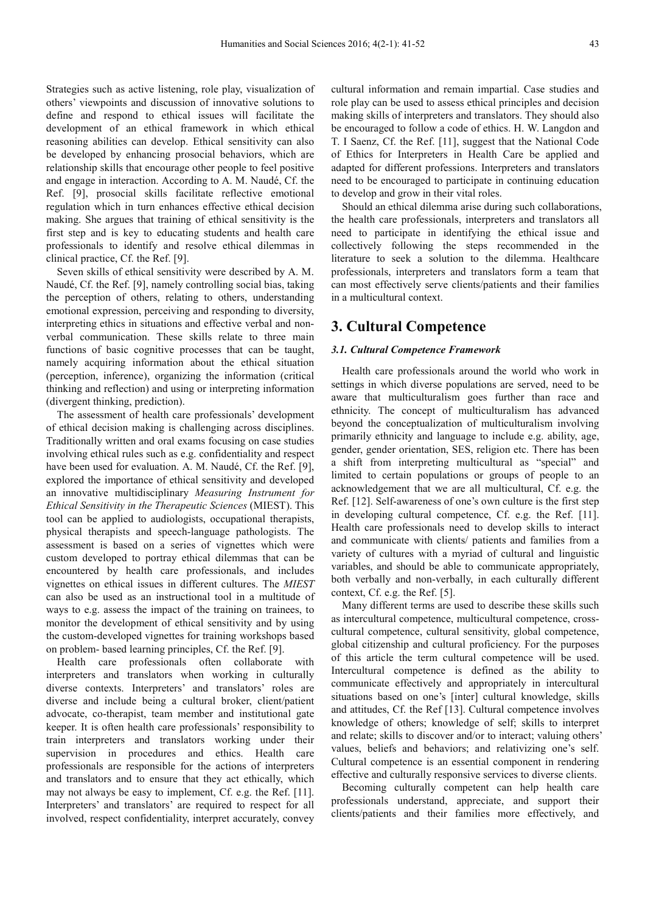Strategies such as active listening, role play, visualization of others' viewpoints and discussion of innovative solutions to define and respond to ethical issues will facilitate the development of an ethical framework in which ethical reasoning abilities can develop. Ethical sensitivity can also be developed by enhancing prosocial behaviors, which are relationship skills that encourage other people to feel positive and engage in interaction. According to A. M. Naudé, Cf. the Ref. [9], prosocial skills facilitate reflective emotional regulation which in turn enhances effective ethical decision making. She argues that training of ethical sensitivity is the first step and is key to educating students and health care professionals to identify and resolve ethical dilemmas in clinical practice, Cf. the Ref. [9].

Seven skills of ethical sensitivity were described by A. M. Naudé, Cf. the Ref. [9], namely controlling social bias, taking the perception of others, relating to others, understanding emotional expression, perceiving and responding to diversity, interpreting ethics in situations and effective verbal and nonverbal communication. These skills relate to three main functions of basic cognitive processes that can be taught, namely acquiring information about the ethical situation (perception, inference), organizing the information (critical thinking and reflection) and using or interpreting information (divergent thinking, prediction).

The assessment of health care professionals' development of ethical decision making is challenging across disciplines. Traditionally written and oral exams focusing on case studies involving ethical rules such as e.g. confidentiality and respect have been used for evaluation. A. M. Naudé, Cf. the Ref. [9], explored the importance of ethical sensitivity and developed an innovative multidisciplinary *Measuring Instrument for Ethical Sensitivity in the Therapeutic Sciences* (MIEST). This tool can be applied to audiologists, occupational therapists, physical therapists and speech-language pathologists. The assessment is based on a series of vignettes which were custom developed to portray ethical dilemmas that can be encountered by health care professionals, and includes vignettes on ethical issues in different cultures. The *MIEST*  can also be used as an instructional tool in a multitude of ways to e.g. assess the impact of the training on trainees, to monitor the development of ethical sensitivity and by using the custom-developed vignettes for training workshops based on problem- based learning principles, Cf. the Ref. [9].

Health care professionals often collaborate with interpreters and translators when working in culturally diverse contexts. Interpreters' and translators' roles are diverse and include being a cultural broker, client/patient advocate, co-therapist, team member and institutional gate keeper. It is often health care professionals' responsibility to train interpreters and translators working under their supervision in procedures and ethics. Health care professionals are responsible for the actions of interpreters and translators and to ensure that they act ethically, which may not always be easy to implement, Cf. e.g. the Ref. [11]. Interpreters' and translators' are required to respect for all involved, respect confidentiality, interpret accurately, convey

cultural information and remain impartial. Case studies and role play can be used to assess ethical principles and decision making skills of interpreters and translators. They should also be encouraged to follow a code of ethics. H. W. Langdon and T. I Saenz, Cf. the Ref. [11], suggest that the National Code of Ethics for Interpreters in Health Care be applied and adapted for different professions. Interpreters and translators need to be encouraged to participate in continuing education to develop and grow in their vital roles.

Should an ethical dilemma arise during such collaborations, the health care professionals, interpreters and translators all need to participate in identifying the ethical issue and collectively following the steps recommended in the literature to seek a solution to the dilemma. Healthcare professionals, interpreters and translators form a team that can most effectively serve clients/patients and their families in a multicultural context.

## **3. Cultural Competence**

#### *3.1. Cultural Competence Framework*

Health care professionals around the world who work in settings in which diverse populations are served, need to be aware that multiculturalism goes further than race and ethnicity. The concept of multiculturalism has advanced beyond the conceptualization of multiculturalism involving primarily ethnicity and language to include e.g. ability, age, gender, gender orientation, SES, religion etc. There has been a shift from interpreting multicultural as "special" and limited to certain populations or groups of people to an acknowledgement that we are all multicultural, Cf. e.g. the Ref. [12]. Self-awareness of one's own culture is the first step in developing cultural competence, Cf. e.g. the Ref. [11]. Health care professionals need to develop skills to interact and communicate with clients/ patients and families from a variety of cultures with a myriad of cultural and linguistic variables, and should be able to communicate appropriately, both verbally and non-verbally, in each culturally different context, Cf. e.g. the Ref. [5].

Many different terms are used to describe these skills such as intercultural competence, multicultural competence, crosscultural competence, cultural sensitivity, global competence, global citizenship and cultural proficiency. For the purposes of this article the term cultural competence will be used. Intercultural competence is defined as the ability to communicate effectively and appropriately in intercultural situations based on one's [inter] cultural knowledge, skills and attitudes, Cf. the Ref [13]. Cultural competence involves knowledge of others; knowledge of self; skills to interpret and relate; skills to discover and/or to interact; valuing others' values, beliefs and behaviors; and relativizing one's self. Cultural competence is an essential component in rendering effective and culturally responsive services to diverse clients.

Becoming culturally competent can help health care professionals understand, appreciate, and support their clients/patients and their families more effectively, and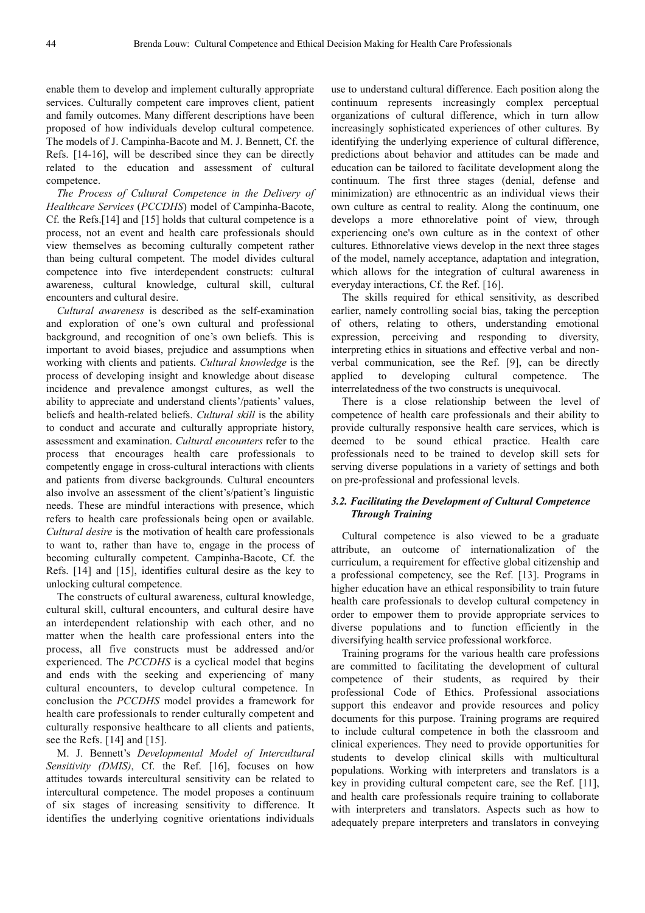enable them to develop and implement culturally appropriate services. Culturally competent care improves client, patient and family outcomes. Many different descriptions have been proposed of how individuals develop cultural competence. The models of J. Campinha-Bacote and M. J. Bennett, Cf. the Refs. [14-16], will be described since they can be directly related to the education and assessment of cultural competence.

*The Process of Cultural Competence in the Delivery of Healthcare Services* (*PCCDHS*) model of Campinha-Bacote, Cf. the Refs.[14] and [15] holds that cultural competence is a process, not an event and health care professionals should view themselves as becoming culturally competent rather than being cultural competent. The model divides cultural competence into five interdependent constructs: cultural awareness, cultural knowledge, cultural skill, cultural encounters and cultural desire.

*Cultural awareness* is described as the self-examination and exploration of one's own cultural and professional background, and recognition of one's own beliefs. This is important to avoid biases, prejudice and assumptions when working with clients and patients. *Cultural knowledge* is the process of developing insight and knowledge about disease incidence and prevalence amongst cultures, as well the ability to appreciate and understand clients'/patients' values, beliefs and health-related beliefs. *Cultural skill* is the ability to conduct and accurate and culturally appropriate history, assessment and examination. *Cultural encounters* refer to the process that encourages health care professionals to competently engage in cross-cultural interactions with clients and patients from diverse backgrounds. Cultural encounters also involve an assessment of the client's/patient's linguistic needs. These are mindful interactions with presence, which refers to health care professionals being open or available. *Cultural desire* is the motivation of health care professionals to want to, rather than have to, engage in the process of becoming culturally competent. Campinha-Bacote, Cf. the Refs. [14] and [15], identifies cultural desire as the key to unlocking cultural competence.

The constructs of cultural awareness, cultural knowledge, cultural skill, cultural encounters, and cultural desire have an interdependent relationship with each other, and no matter when the health care professional enters into the process, all five constructs must be addressed and/or experienced. The *PCCDHS* is a cyclical model that begins and ends with the seeking and experiencing of many cultural encounters, to develop cultural competence. In conclusion the *PCCDHS* model provides a framework for health care professionals to render culturally competent and culturally responsive healthcare to all clients and patients, see the Refs. [14] and [15].

M. J. Bennett's *Developmental Model of Intercultural Sensitivity (DMIS)*, Cf. the Ref. [16], focuses on how attitudes towards intercultural sensitivity can be related to intercultural competence. The model proposes a continuum of six stages of increasing sensitivity to difference. It identifies the underlying cognitive orientations individuals use to understand cultural difference. Each position along the continuum represents increasingly complex perceptual organizations of cultural difference, which in turn allow increasingly sophisticated experiences of other cultures. By identifying the underlying experience of cultural difference, predictions about behavior and attitudes can be made and education can be tailored to facilitate development along the continuum. The first three stages (denial, defense and minimization) are ethnocentric as an individual views their own culture as central to reality. Along the continuum, one develops a more ethnorelative point of view, through experiencing one's own culture as in the context of other cultures. Ethnorelative views develop in the next three stages of the model, namely acceptance, adaptation and integration, which allows for the integration of cultural awareness in everyday interactions, Cf. the Ref. [16].

The skills required for ethical sensitivity, as described earlier, namely controlling social bias, taking the perception of others, relating to others, understanding emotional expression, perceiving and responding to diversity, interpreting ethics in situations and effective verbal and nonverbal communication, see the Ref. [9], can be directly applied to developing cultural competence. The interrelatedness of the two constructs is unequivocal.

There is a close relationship between the level of competence of health care professionals and their ability to provide culturally responsive health care services, which is deemed to be sound ethical practice. Health care professionals need to be trained to develop skill sets for serving diverse populations in a variety of settings and both on pre-professional and professional levels.

#### *3.2. Facilitating the Development of Cultural Competence Through Training*

Cultural competence is also viewed to be a graduate attribute, an outcome of internationalization of the curriculum, a requirement for effective global citizenship and a professional competency, see the Ref. [13]. Programs in higher education have an ethical responsibility to train future health care professionals to develop cultural competency in order to empower them to provide appropriate services to diverse populations and to function efficiently in the diversifying health service professional workforce.

Training programs for the various health care professions are committed to facilitating the development of cultural competence of their students, as required by their professional Code of Ethics. Professional associations support this endeavor and provide resources and policy documents for this purpose. Training programs are required to include cultural competence in both the classroom and clinical experiences. They need to provide opportunities for students to develop clinical skills with multicultural populations. Working with interpreters and translators is a key in providing cultural competent care, see the Ref. [11], and health care professionals require training to collaborate with interpreters and translators. Aspects such as how to adequately prepare interpreters and translators in conveying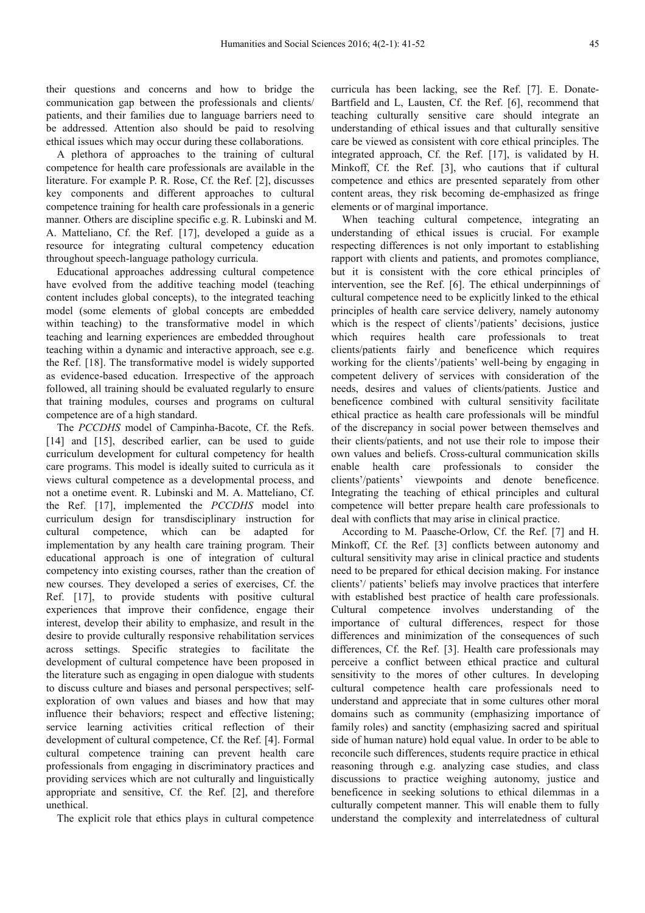their questions and concerns and how to bridge the communication gap between the professionals and clients/ patients, and their families due to language barriers need to be addressed. Attention also should be paid to resolving ethical issues which may occur during these collaborations.

A plethora of approaches to the training of cultural competence for health care professionals are available in the literature. For example P. R. Rose, Cf. the Ref. [2], discusses key components and different approaches to cultural competence training for health care professionals in a generic manner. Others are discipline specific e.g. R. Lubinski and M. A. Matteliano, Cf. the Ref. [17], developed a guide as a resource for integrating cultural competency education throughout speech-language pathology curricula.

Educational approaches addressing cultural competence have evolved from the additive teaching model (teaching content includes global concepts), to the integrated teaching model (some elements of global concepts are embedded within teaching) to the transformative model in which teaching and learning experiences are embedded throughout teaching within a dynamic and interactive approach, see e.g. the Ref. [18]. The transformative model is widely supported as evidence-based education. Irrespective of the approach followed, all training should be evaluated regularly to ensure that training modules, courses and programs on cultural competence are of a high standard.

The *PCCDHS* model of Campinha-Bacote, Cf. the Refs. [14] and [15], described earlier, can be used to guide curriculum development for cultural competency for health care programs. This model is ideally suited to curricula as it views cultural competence as a developmental process, and not a onetime event. R. Lubinski and M. A. Matteliano, Cf. the Ref. [17], implemented the *PCCDHS* model into curriculum design for transdisciplinary instruction for cultural competence, which can be adapted for implementation by any health care training program. Their educational approach is one of integration of cultural competency into existing courses, rather than the creation of new courses. They developed a series of exercises, Cf. the Ref. [17], to provide students with positive cultural experiences that improve their confidence, engage their interest, develop their ability to emphasize, and result in the desire to provide culturally responsive rehabilitation services across settings. Specific strategies to facilitate the development of cultural competence have been proposed in the literature such as engaging in open dialogue with students to discuss culture and biases and personal perspectives; selfexploration of own values and biases and how that may influence their behaviors; respect and effective listening; service learning activities critical reflection of their development of cultural competence, Cf. the Ref. [4]. Formal cultural competence training can prevent health care professionals from engaging in discriminatory practices and providing services which are not culturally and linguistically appropriate and sensitive, Cf. the Ref. [2], and therefore unethical.

The explicit role that ethics plays in cultural competence

curricula has been lacking, see the Ref. [7]. E. Donate-Bartfield and L, Lausten, Cf. the Ref. [6], recommend that teaching culturally sensitive care should integrate an understanding of ethical issues and that culturally sensitive care be viewed as consistent with core ethical principles. The integrated approach, Cf. the Ref. [17], is validated by H. Minkoff, Cf. the Ref. [3], who cautions that if cultural competence and ethics are presented separately from other content areas, they risk becoming de-emphasized as fringe elements or of marginal importance.

When teaching cultural competence, integrating an understanding of ethical issues is crucial. For example respecting differences is not only important to establishing rapport with clients and patients, and promotes compliance, but it is consistent with the core ethical principles of intervention, see the Ref. [6]. The ethical underpinnings of cultural competence need to be explicitly linked to the ethical principles of health care service delivery, namely autonomy which is the respect of clients'/patients' decisions, justice which requires health care professionals to treat clients/patients fairly and beneficence which requires working for the clients'/patients' well-being by engaging in competent delivery of services with consideration of the needs, desires and values of clients/patients. Justice and beneficence combined with cultural sensitivity facilitate ethical practice as health care professionals will be mindful of the discrepancy in social power between themselves and their clients/patients, and not use their role to impose their own values and beliefs. Cross-cultural communication skills enable health care professionals to consider the clients'/patients' viewpoints and denote beneficence. Integrating the teaching of ethical principles and cultural competence will better prepare health care professionals to deal with conflicts that may arise in clinical practice.

According to M. Paasche-Orlow, Cf. the Ref. [7] and H. Minkoff, Cf. the Ref. [3] conflicts between autonomy and cultural sensitivity may arise in clinical practice and students need to be prepared for ethical decision making. For instance clients'/ patients' beliefs may involve practices that interfere with established best practice of health care professionals. Cultural competence involves understanding of the importance of cultural differences, respect for those differences and minimization of the consequences of such differences, Cf. the Ref. [3]. Health care professionals may perceive a conflict between ethical practice and cultural sensitivity to the mores of other cultures. In developing cultural competence health care professionals need to understand and appreciate that in some cultures other moral domains such as community (emphasizing importance of family roles) and sanctity (emphasizing sacred and spiritual side of human nature) hold equal value. In order to be able to reconcile such differences, students require practice in ethical reasoning through e.g. analyzing case studies, and class discussions to practice weighing autonomy, justice and beneficence in seeking solutions to ethical dilemmas in a culturally competent manner. This will enable them to fully understand the complexity and interrelatedness of cultural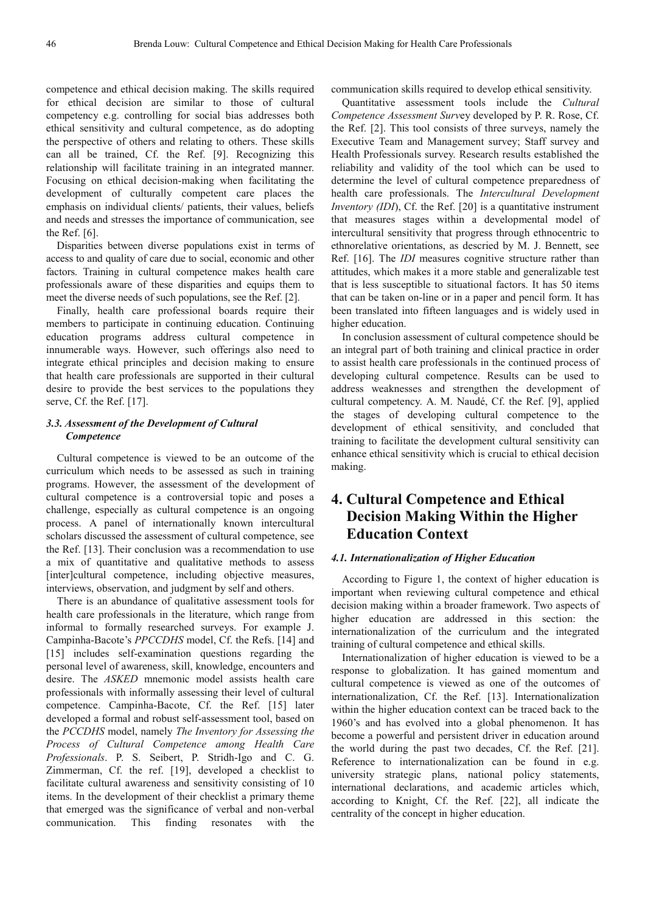competence and ethical decision making. The skills required for ethical decision are similar to those of cultural competency e.g. controlling for social bias addresses both ethical sensitivity and cultural competence, as do adopting the perspective of others and relating to others. These skills can all be trained, Cf. the Ref. [9]. Recognizing this relationship will facilitate training in an integrated manner. Focusing on ethical decision-making when facilitating the development of culturally competent care places the emphasis on individual clients/ patients, their values, beliefs and needs and stresses the importance of communication, see the Ref. [6].

Disparities between diverse populations exist in terms of access to and quality of care due to social, economic and other factors. Training in cultural competence makes health care professionals aware of these disparities and equips them to meet the diverse needs of such populations, see the Ref. [2].

Finally, health care professional boards require their members to participate in continuing education. Continuing education programs address cultural competence in innumerable ways. However, such offerings also need to integrate ethical principles and decision making to ensure that health care professionals are supported in their cultural desire to provide the best services to the populations they serve, Cf. the Ref. [17].

#### *3.3. Assessment of the Development of Cultural Competence*

Cultural competence is viewed to be an outcome of the curriculum which needs to be assessed as such in training programs. However, the assessment of the development of cultural competence is a controversial topic and poses a challenge, especially as cultural competence is an ongoing process. A panel of internationally known intercultural scholars discussed the assessment of cultural competence, see the Ref. [13]. Their conclusion was a recommendation to use a mix of quantitative and qualitative methods to assess [inter]cultural competence, including objective measures, interviews, observation, and judgment by self and others.

There is an abundance of qualitative assessment tools for health care professionals in the literature, which range from informal to formally researched surveys. For example J. Campinha-Bacote's *PPCCDHS* model, Cf. the Refs. [14] and [15] includes self-examination questions regarding the personal level of awareness, skill, knowledge, encounters and desire. The *ASKED* mnemonic model assists health care professionals with informally assessing their level of cultural competence. Campinha-Bacote, Cf. the Ref. [15] later developed a formal and robust self-assessment tool, based on the *PCCDHS* model, namely *The Inventory for Assessing the Process of Cultural Competence among Health Care Professionals*. P. S. Seibert, P. Stridh-Igo and C. G. Zimmerman, Cf. the ref. [19], developed a checklist to facilitate cultural awareness and sensitivity consisting of 10 items. In the development of their checklist a primary theme that emerged was the significance of verbal and non-verbal communication. This finding resonates with the

communication skills required to develop ethical sensitivity.

Quantitative assessment tools include the *Cultural Competence Assessment Surv*ey developed by P. R. Rose, Cf. the Ref. [2]. This tool consists of three surveys, namely the Executive Team and Management survey; Staff survey and Health Professionals survey. Research results established the reliability and validity of the tool which can be used to determine the level of cultural competence preparedness of health care professionals. The *Intercultural Development Inventory (IDI*), Cf. the Ref. [20] is a quantitative instrument that measures stages within a developmental model of intercultural sensitivity that progress through ethnocentric to ethnorelative orientations, as descried by M. J. Bennett, see Ref. [16]. The *IDI* measures cognitive structure rather than attitudes, which makes it a more stable and generalizable test that is less susceptible to situational factors. It has 50 items that can be taken on-line or in a paper and pencil form. It has been translated into fifteen languages and is widely used in higher education.

In conclusion assessment of cultural competence should be an integral part of both training and clinical practice in order to assist health care professionals in the continued process of developing cultural competence. Results can be used to address weaknesses and strengthen the development of cultural competency. A. M. Naudé, Cf. the Ref. [9], applied the stages of developing cultural competence to the development of ethical sensitivity, and concluded that training to facilitate the development cultural sensitivity can enhance ethical sensitivity which is crucial to ethical decision making.

## **4. Cultural Competence and Ethical Decision Making Within the Higher Education Context**

#### *4.1. Internationalization of Higher Education*

According to Figure 1, the context of higher education is important when reviewing cultural competence and ethical decision making within a broader framework. Two aspects of higher education are addressed in this section: the internationalization of the curriculum and the integrated training of cultural competence and ethical skills.

Internationalization of higher education is viewed to be a response to globalization. It has gained momentum and cultural competence is viewed as one of the outcomes of internationalization, Cf. the Ref. [13]. Internationalization within the higher education context can be traced back to the 1960's and has evolved into a global phenomenon. It has become a powerful and persistent driver in education around the world during the past two decades, Cf. the Ref. [21]. Reference to internationalization can be found in e.g. university strategic plans, national policy statements, international declarations, and academic articles which, according to Knight, Cf. the Ref. [22], all indicate the centrality of the concept in higher education.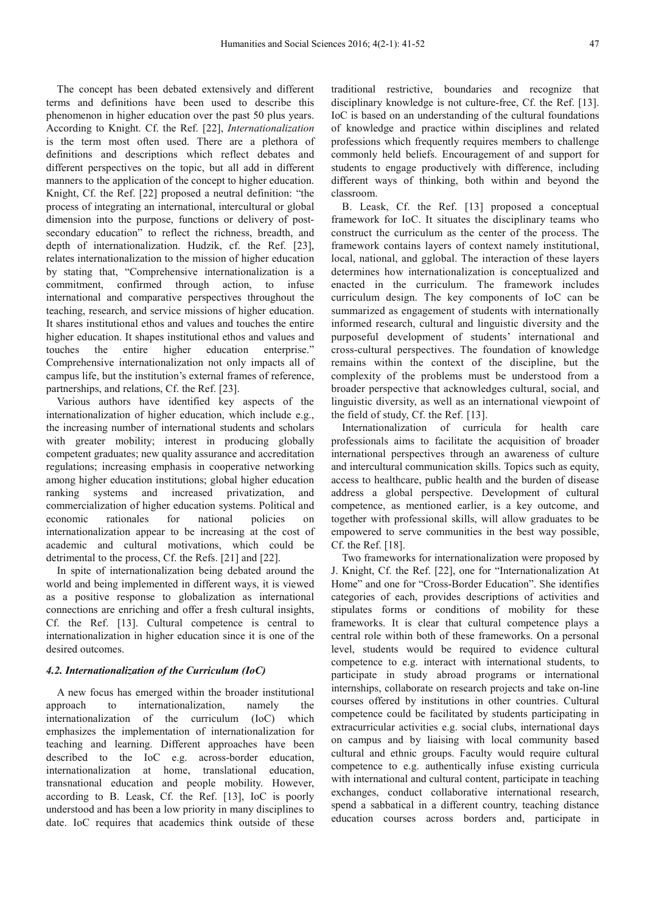The concept has been debated extensively and different terms and definitions have been used to describe this phenomenon in higher education over the past 50 plus years. According to Knight. Cf. the Ref. [22], *Internationalization*  is the term most often used. There are a plethora of definitions and descriptions which reflect debates and different perspectives on the topic, but all add in different manners to the application of the concept to higher education. Knight, Cf. the Ref. [22] proposed a neutral definition: "the process of integrating an international, intercultural or global dimension into the purpose, functions or delivery of postsecondary education" to reflect the richness, breadth, and depth of internationalization. Hudzik, cf. the Ref. [23], relates internationalization to the mission of higher education by stating that, "Comprehensive internationalization is a commitment, confirmed through action, to infuse international and comparative perspectives throughout the teaching, research, and service missions of higher education. It shares institutional ethos and values and touches the entire higher education. It shapes institutional ethos and values and touches the entire higher education enterprise." Comprehensive internationalization not only impacts all of campus life, but the institution's external frames of reference, partnerships, and relations, Cf. the Ref. [23].

Various authors have identified key aspects of the internationalization of higher education, which include e.g., the increasing number of international students and scholars with greater mobility; interest in producing globally competent graduates; new quality assurance and accreditation regulations; increasing emphasis in cooperative networking among higher education institutions; global higher education ranking systems and increased privatization, and commercialization of higher education systems. Political and economic rationales for national policies on internationalization appear to be increasing at the cost of academic and cultural motivations, which could be detrimental to the process, Cf. the Refs. [21] and [22].

In spite of internationalization being debated around the world and being implemented in different ways, it is viewed as a positive response to globalization as international connections are enriching and offer a fresh cultural insights, Cf. the Ref. [13]. Cultural competence is central to internationalization in higher education since it is one of the desired outcomes.

#### *4.2. Internationalization of the Curriculum (IoC)*

A new focus has emerged within the broader institutional approach to internationalization, namely the internationalization of the curriculum (IoC) which emphasizes the implementation of internationalization for teaching and learning. Different approaches have been described to the IoC e.g. across-border education, internationalization at home, translational education, transnational education and people mobility. However, according to B. Leask, Cf. the Ref. [13], IoC is poorly understood and has been a low priority in many disciplines to date. IoC requires that academics think outside of these traditional restrictive, boundaries and recognize that disciplinary knowledge is not culture-free, Cf. the Ref. [13]. IoC is based on an understanding of the cultural foundations of knowledge and practice within disciplines and related professions which frequently requires members to challenge commonly held beliefs. Encouragement of and support for students to engage productively with difference, including different ways of thinking, both within and beyond the classroom.

B. Leask, Cf. the Ref. [13] proposed a conceptual framework for IoC. It situates the disciplinary teams who construct the curriculum as the center of the process. The framework contains layers of context namely institutional, local, national, and gglobal. The interaction of these layers determines how internationalization is conceptualized and enacted in the curriculum. The framework includes curriculum design. The key components of IoC can be summarized as engagement of students with internationally informed research, cultural and linguistic diversity and the purposeful development of students' international and cross-cultural perspectives. The foundation of knowledge remains within the context of the discipline, but the complexity of the problems must be understood from a broader perspective that acknowledges cultural, social, and linguistic diversity, as well as an international viewpoint of the field of study, Cf. the Ref. [13].

Internationalization of curricula for health care professionals aims to facilitate the acquisition of broader international perspectives through an awareness of culture and intercultural communication skills. Topics such as equity, access to healthcare, public health and the burden of disease address a global perspective. Development of cultural competence, as mentioned earlier, is a key outcome, and together with professional skills, will allow graduates to be empowered to serve communities in the best way possible, Cf. the Ref. [18].

Two frameworks for internationalization were proposed by J. Knight, Cf. the Ref. [22], one for "Internationalization At Home" and one for "Cross-Border Education". She identifies categories of each, provides descriptions of activities and stipulates forms or conditions of mobility for these frameworks. It is clear that cultural competence plays a central role within both of these frameworks. On a personal level, students would be required to evidence cultural competence to e.g. interact with international students, to participate in study abroad programs or international internships, collaborate on research projects and take on-line courses offered by institutions in other countries. Cultural competence could be facilitated by students participating in extracurricular activities e.g. social clubs, international days on campus and by liaising with local community based cultural and ethnic groups. Faculty would require cultural competence to e.g. authentically infuse existing curricula with international and cultural content, participate in teaching exchanges, conduct collaborative international research, spend a sabbatical in a different country, teaching distance education courses across borders and, participate in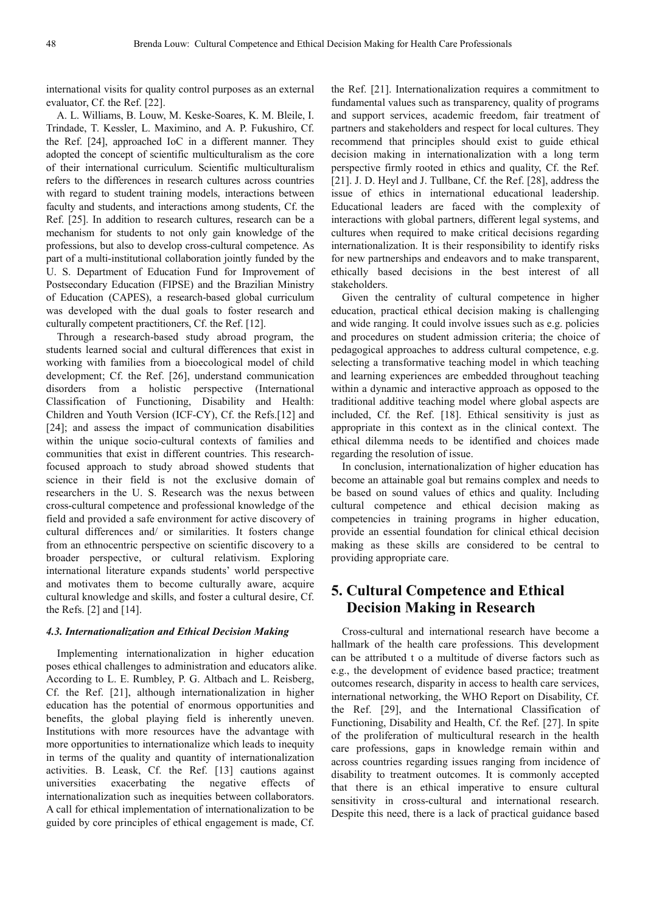international visits for quality control purposes as an external evaluator, Cf. the Ref. [22].

A. L. Williams, B. Louw, M. Keske-Soares, K. M. Bleile, I. Trindade, T. Kessler, L. Maximino, and A. P. Fukushiro, Cf. the Ref. [24], approached IoC in a different manner. They adopted the concept of scientific multiculturalism as the core of their international curriculum. Scientific multiculturalism refers to the differences in research cultures across countries with regard to student training models, interactions between faculty and students, and interactions among students, Cf. the Ref. [25]. In addition to research cultures, research can be a mechanism for students to not only gain knowledge of the professions, but also to develop cross-cultural competence. As part of a multi-institutional collaboration jointly funded by the U. S. Department of Education Fund for Improvement of Postsecondary Education (FIPSE) and the Brazilian Ministry of Education (CAPES), a research-based global curriculum was developed with the dual goals to foster research and culturally competent practitioners, Cf. the Ref. [12].

Through a research-based study abroad program, the students learned social and cultural differences that exist in working with families from a bioecological model of child development; Cf. the Ref. [26], understand communication disorders from a holistic perspective (International Classification of Functioning, Disability and Health: Children and Youth Version (ICF-CY), Cf. the Refs.[12] and [24]; and assess the impact of communication disabilities within the unique socio-cultural contexts of families and communities that exist in different countries. This researchfocused approach to study abroad showed students that science in their field is not the exclusive domain of researchers in the U. S. Research was the nexus between cross-cultural competence and professional knowledge of the field and provided a safe environment for active discovery of cultural differences and/ or similarities. It fosters change from an ethnocentric perspective on scientific discovery to a broader perspective, or cultural relativism. Exploring international literature expands students' world perspective and motivates them to become culturally aware, acquire cultural knowledge and skills, and foster a cultural desire, Cf. the Refs. [2] and [14].

#### *4.3. Internationalization and Ethical Decision Making*

Implementing internationalization in higher education poses ethical challenges to administration and educators alike. According to L. E. Rumbley, P. G. Altbach and L. Reisberg, Cf. the Ref. [21], although internationalization in higher education has the potential of enormous opportunities and benefits, the global playing field is inherently uneven. Institutions with more resources have the advantage with more opportunities to internationalize which leads to inequity in terms of the quality and quantity of internationalization activities. B. Leask, Cf. the Ref. [13] cautions against universities exacerbating the negative effects of internationalization such as inequities between collaborators. A call for ethical implementation of internationalization to be guided by core principles of ethical engagement is made, Cf.

the Ref. [21]. Internationalization requires a commitment to fundamental values such as transparency, quality of programs and support services, academic freedom, fair treatment of partners and stakeholders and respect for local cultures. They recommend that principles should exist to guide ethical decision making in internationalization with a long term perspective firmly rooted in ethics and quality, Cf. the Ref. [21]. J. D. Heyl and J. Tullbane, Cf. the Ref. [28], address the issue of ethics in international educational leadership. Educational leaders are faced with the complexity of interactions with global partners, different legal systems, and cultures when required to make critical decisions regarding internationalization. It is their responsibility to identify risks for new partnerships and endeavors and to make transparent, ethically based decisions in the best interest of all stakeholders.

Given the centrality of cultural competence in higher education, practical ethical decision making is challenging and wide ranging. It could involve issues such as e.g. policies and procedures on student admission criteria; the choice of pedagogical approaches to address cultural competence, e.g. selecting a transformative teaching model in which teaching and learning experiences are embedded throughout teaching within a dynamic and interactive approach as opposed to the traditional additive teaching model where global aspects are included, Cf. the Ref. [18]. Ethical sensitivity is just as appropriate in this context as in the clinical context. The ethical dilemma needs to be identified and choices made regarding the resolution of issue.

In conclusion, internationalization of higher education has become an attainable goal but remains complex and needs to be based on sound values of ethics and quality. Including cultural competence and ethical decision making as competencies in training programs in higher education, provide an essential foundation for clinical ethical decision making as these skills are considered to be central to providing appropriate care.

## **5. Cultural Competence and Ethical Decision Making in Research**

Cross-cultural and international research have become a hallmark of the health care professions. This development can be attributed t o a multitude of diverse factors such as e.g., the development of evidence based practice; treatment outcomes research, disparity in access to health care services, international networking, the WHO Report on Disability, Cf. the Ref. [29], and the International Classification of Functioning, Disability and Health, Cf. the Ref. [27]. In spite of the proliferation of multicultural research in the health care professions, gaps in knowledge remain within and across countries regarding issues ranging from incidence of disability to treatment outcomes. It is commonly accepted that there is an ethical imperative to ensure cultural sensitivity in cross-cultural and international research. Despite this need, there is a lack of practical guidance based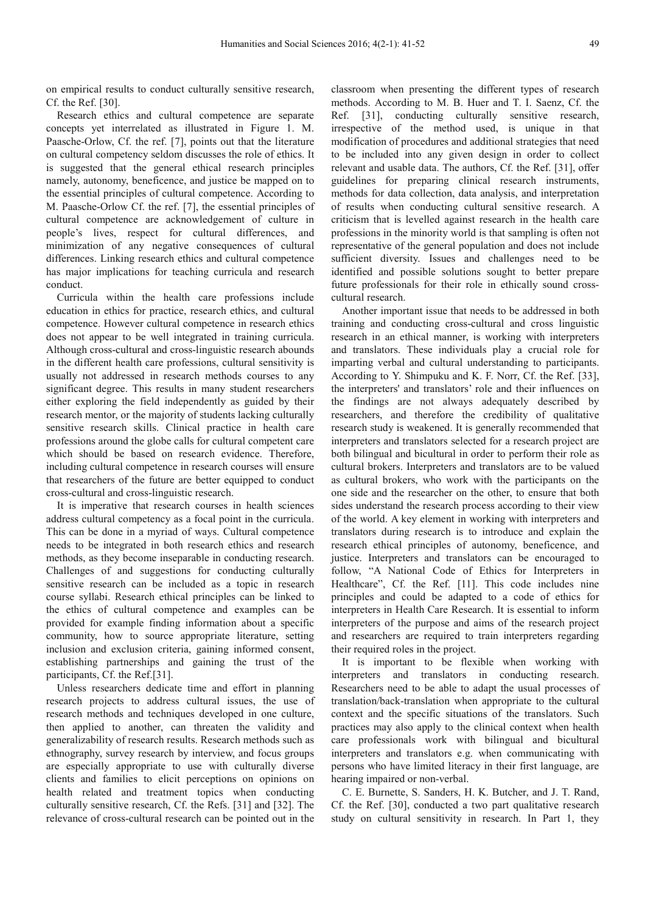on empirical results to conduct culturally sensitive research, Cf. the Ref. [30].

Research ethics and cultural competence are separate concepts yet interrelated as illustrated in Figure 1. M. Paasche-Orlow, Cf. the ref. [7], points out that the literature on cultural competency seldom discusses the role of ethics. It is suggested that the general ethical research principles namely, autonomy, beneficence, and justice be mapped on to the essential principles of cultural competence. According to M. Paasche-Orlow Cf. the ref. [7], the essential principles of cultural competence are acknowledgement of culture in people's lives, respect for cultural differences, and minimization of any negative consequences of cultural differences. Linking research ethics and cultural competence has major implications for teaching curricula and research conduct.

Curricula within the health care professions include education in ethics for practice, research ethics, and cultural competence. However cultural competence in research ethics does not appear to be well integrated in training curricula. Although cross-cultural and cross-linguistic research abounds in the different health care professions, cultural sensitivity is usually not addressed in research methods courses to any significant degree. This results in many student researchers either exploring the field independently as guided by their research mentor, or the majority of students lacking culturally sensitive research skills. Clinical practice in health care professions around the globe calls for cultural competent care which should be based on research evidence. Therefore, including cultural competence in research courses will ensure that researchers of the future are better equipped to conduct cross-cultural and cross-linguistic research.

It is imperative that research courses in health sciences address cultural competency as a focal point in the curricula. This can be done in a myriad of ways. Cultural competence needs to be integrated in both research ethics and research methods, as they become inseparable in conducting research. Challenges of and suggestions for conducting culturally sensitive research can be included as a topic in research course syllabi. Research ethical principles can be linked to the ethics of cultural competence and examples can be provided for example finding information about a specific community, how to source appropriate literature, setting inclusion and exclusion criteria, gaining informed consent, establishing partnerships and gaining the trust of the participants, Cf. the Ref.[31].

Unless researchers dedicate time and effort in planning research projects to address cultural issues, the use of research methods and techniques developed in one culture, then applied to another, can threaten the validity and generalizability of research results. Research methods such as ethnography, survey research by interview, and focus groups are especially appropriate to use with culturally diverse clients and families to elicit perceptions on opinions on health related and treatment topics when conducting culturally sensitive research, Cf. the Refs. [31] and [32]. The relevance of cross-cultural research can be pointed out in the

classroom when presenting the different types of research methods. According to M. B. Huer and T. I. Saenz, Cf. the Ref. [31], conducting culturally sensitive research, irrespective of the method used, is unique in that modification of procedures and additional strategies that need to be included into any given design in order to collect relevant and usable data. The authors, Cf. the Ref. [31], offer guidelines for preparing clinical research instruments, methods for data collection, data analysis, and interpretation of results when conducting cultural sensitive research. A criticism that is levelled against research in the health care professions in the minority world is that sampling is often not representative of the general population and does not include sufficient diversity. Issues and challenges need to be identified and possible solutions sought to better prepare future professionals for their role in ethically sound crosscultural research.

Another important issue that needs to be addressed in both training and conducting cross-cultural and cross linguistic research in an ethical manner, is working with interpreters and translators. These individuals play a crucial role for imparting verbal and cultural understanding to participants. According to Y. Shimpuku and K. F. Norr, Cf. the Ref. [33], the interpreters' and translators' role and their influences on the findings are not always adequately described by researchers, and therefore the credibility of qualitative research study is weakened. It is generally recommended that interpreters and translators selected for a research project are both bilingual and bicultural in order to perform their role as cultural brokers. Interpreters and translators are to be valued as cultural brokers, who work with the participants on the one side and the researcher on the other, to ensure that both sides understand the research process according to their view of the world. A key element in working with interpreters and translators during research is to introduce and explain the research ethical principles of autonomy, beneficence, and justice. Interpreters and translators can be encouraged to follow, "A National Code of Ethics for Interpreters in Healthcare", Cf. the Ref. [11]. This code includes nine principles and could be adapted to a code of ethics for interpreters in Health Care Research. It is essential to inform interpreters of the purpose and aims of the research project and researchers are required to train interpreters regarding their required roles in the project.

It is important to be flexible when working with interpreters and translators in conducting research. Researchers need to be able to adapt the usual processes of translation/back-translation when appropriate to the cultural context and the specific situations of the translators. Such practices may also apply to the clinical context when health care professionals work with bilingual and bicultural interpreters and translators e.g. when communicating with persons who have limited literacy in their first language, are hearing impaired or non-verbal.

C. E. Burnette, S. Sanders, H. K. Butcher, and J. T. Rand, Cf. the Ref. [30], conducted a two part qualitative research study on cultural sensitivity in research. In Part 1, they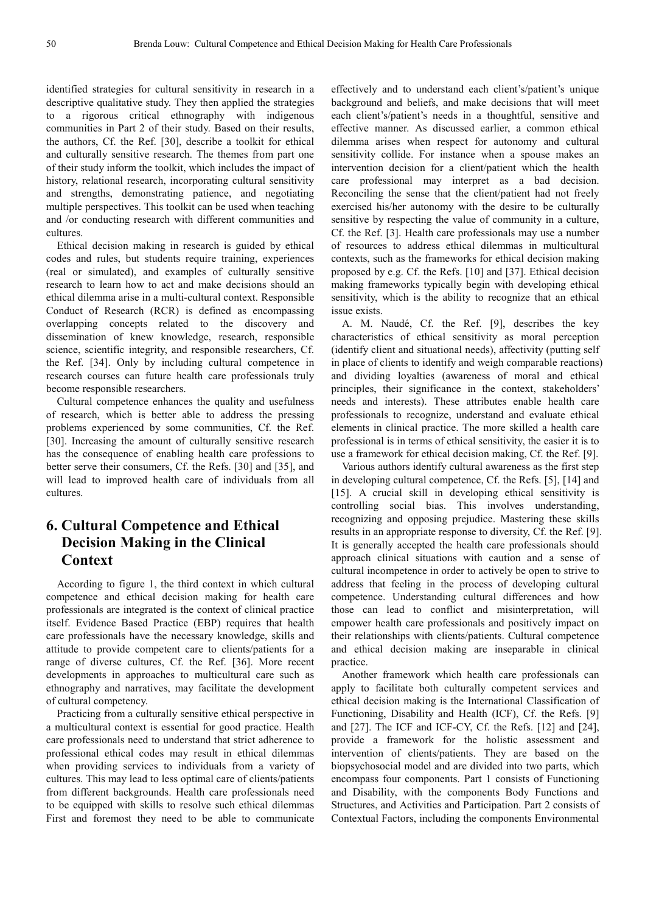identified strategies for cultural sensitivity in research in a descriptive qualitative study. They then applied the strategies to a rigorous critical ethnography with indigenous communities in Part 2 of their study. Based on their results, the authors, Cf. the Ref. [30], describe a toolkit for ethical and culturally sensitive research. The themes from part one of their study inform the toolkit, which includes the impact of history, relational research, incorporating cultural sensitivity and strengths, demonstrating patience, and negotiating multiple perspectives. This toolkit can be used when teaching and /or conducting research with different communities and cultures.

Ethical decision making in research is guided by ethical codes and rules, but students require training, experiences (real or simulated), and examples of culturally sensitive research to learn how to act and make decisions should an ethical dilemma arise in a multi-cultural context. Responsible Conduct of Research (RCR) is defined as encompassing overlapping concepts related to the discovery and dissemination of knew knowledge, research, responsible science, scientific integrity, and responsible researchers, Cf. the Ref. [34]. Only by including cultural competence in research courses can future health care professionals truly become responsible researchers.

Cultural competence enhances the quality and usefulness of research, which is better able to address the pressing problems experienced by some communities, Cf. the Ref. [30]. Increasing the amount of culturally sensitive research has the consequence of enabling health care professions to better serve their consumers, Cf. the Refs. [30] and [35], and will lead to improved health care of individuals from all cultures.

## **6. Cultural Competence and Ethical Decision Making in the Clinical Context**

According to figure 1, the third context in which cultural competence and ethical decision making for health care professionals are integrated is the context of clinical practice itself. Evidence Based Practice (EBP) requires that health care professionals have the necessary knowledge, skills and attitude to provide competent care to clients/patients for a range of diverse cultures, Cf. the Ref. [36]. More recent developments in approaches to multicultural care such as ethnography and narratives, may facilitate the development of cultural competency.

Practicing from a culturally sensitive ethical perspective in a multicultural context is essential for good practice. Health care professionals need to understand that strict adherence to professional ethical codes may result in ethical dilemmas when providing services to individuals from a variety of cultures. This may lead to less optimal care of clients/patients from different backgrounds. Health care professionals need to be equipped with skills to resolve such ethical dilemmas First and foremost they need to be able to communicate effectively and to understand each client's/patient's unique background and beliefs, and make decisions that will meet each client's/patient's needs in a thoughtful, sensitive and effective manner. As discussed earlier, a common ethical dilemma arises when respect for autonomy and cultural sensitivity collide. For instance when a spouse makes an intervention decision for a client/patient which the health care professional may interpret as a bad decision. Reconciling the sense that the client/patient had not freely exercised his/her autonomy with the desire to be culturally sensitive by respecting the value of community in a culture, Cf. the Ref. [3]. Health care professionals may use a number of resources to address ethical dilemmas in multicultural contexts, such as the frameworks for ethical decision making proposed by e.g. Cf. the Refs. [10] and [37]. Ethical decision making frameworks typically begin with developing ethical sensitivity, which is the ability to recognize that an ethical issue exists.

A. M. Naudé, Cf. the Ref. [9], describes the key characteristics of ethical sensitivity as moral perception (identify client and situational needs), affectivity (putting self in place of clients to identify and weigh comparable reactions) and dividing loyalties (awareness of moral and ethical principles, their significance in the context, stakeholders' needs and interests). These attributes enable health care professionals to recognize, understand and evaluate ethical elements in clinical practice. The more skilled a health care professional is in terms of ethical sensitivity, the easier it is to use a framework for ethical decision making, Cf. the Ref. [9].

Various authors identify cultural awareness as the first step in developing cultural competence, Cf. the Refs. [5], [14] and [15]. A crucial skill in developing ethical sensitivity is controlling social bias. This involves understanding, recognizing and opposing prejudice. Mastering these skills results in an appropriate response to diversity, Cf. the Ref. [9]. It is generally accepted the health care professionals should approach clinical situations with caution and a sense of cultural incompetence in order to actively be open to strive to address that feeling in the process of developing cultural competence. Understanding cultural differences and how those can lead to conflict and misinterpretation, will empower health care professionals and positively impact on their relationships with clients/patients. Cultural competence and ethical decision making are inseparable in clinical practice.

Another framework which health care professionals can apply to facilitate both culturally competent services and ethical decision making is the International Classification of Functioning, Disability and Health (ICF), Cf. the Refs. [9] and [27]. The ICF and ICF-CY, Cf. the Refs. [12] and [24], provide a framework for the holistic assessment and intervention of clients/patients. They are based on the biopsychosocial model and are divided into two parts, which encompass four components. Part 1 consists of Functioning and Disability, with the components Body Functions and Structures, and Activities and Participation. Part 2 consists of Contextual Factors, including the components Environmental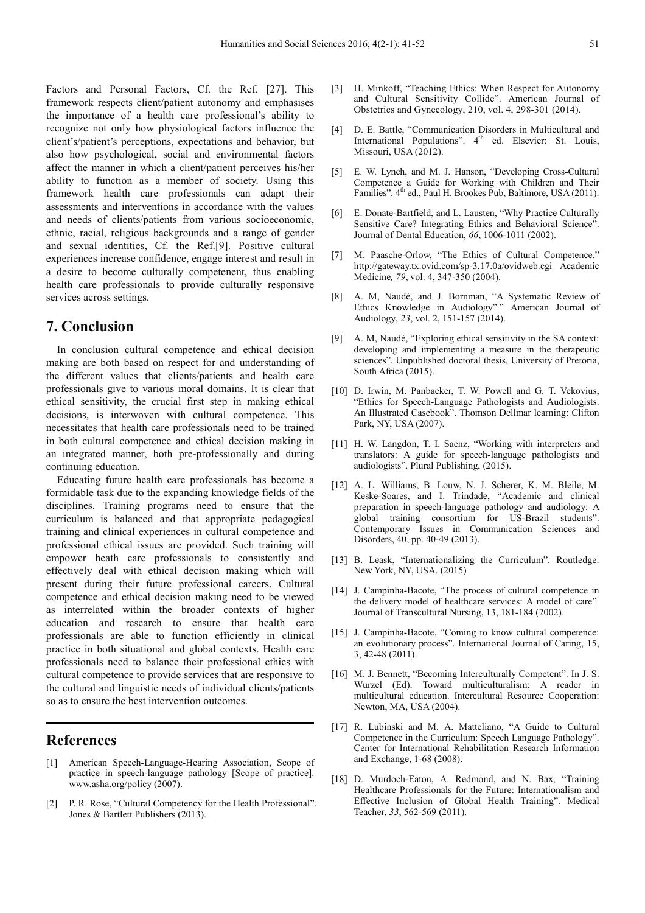Factors and Personal Factors, Cf. the Ref. [27]. This framework respects client/patient autonomy and emphasises the importance of a health care professional's ability to recognize not only how physiological factors influence the client's/patient's perceptions, expectations and behavior, but also how psychological, social and environmental factors affect the manner in which a client/patient perceives his/her ability to function as a member of society. Using this framework health care professionals can adapt their assessments and interventions in accordance with the values and needs of clients/patients from various socioeconomic, ethnic, racial, religious backgrounds and a range of gender and sexual identities, Cf. the Ref.[9]. Positive cultural experiences increase confidence, engage interest and result in a desire to become culturally competenent, thus enabling health care professionals to provide culturally responsive services across settings.

## **7. Conclusion**

In conclusion cultural competence and ethical decision making are both based on respect for and understanding of the different values that clients/patients and health care professionals give to various moral domains. It is clear that ethical sensitivity, the crucial first step in making ethical decisions, is interwoven with cultural competence. This necessitates that health care professionals need to be trained in both cultural competence and ethical decision making in an integrated manner, both pre-professionally and during continuing education.

Educating future health care professionals has become a formidable task due to the expanding knowledge fields of the disciplines. Training programs need to ensure that the curriculum is balanced and that appropriate pedagogical training and clinical experiences in cultural competence and professional ethical issues are provided. Such training will empower heath care professionals to consistently and effectively deal with ethical decision making which will present during their future professional careers. Cultural competence and ethical decision making need to be viewed as interrelated within the broader contexts of higher education and research to ensure that health care professionals are able to function efficiently in clinical practice in both situational and global contexts. Health care professionals need to balance their professional ethics with cultural competence to provide services that are responsive to the cultural and linguistic needs of individual clients/patients so as to ensure the best intervention outcomes.

## **References**

- [1] American Speech-Language-Hearing Association, Scope of practice in speech-language pathology [Scope of practice]. www.asha.org/policy (2007).
- [2] P. R. Rose, "Cultural Competency for the Health Professional". Jones & Bartlett Publishers (2013).
- [3] H. Minkoff, "Teaching Ethics: When Respect for Autonomy and Cultural Sensitivity Collide". American Journal of Obstetrics and Gynecology, 210, vol. 4, 298-301 (2014).
- [4] D. E. Battle, "Communication Disorders in Multicultural and International Populations". 4<sup>th</sup> ed. Elsevier: St. Louis, Missouri, USA (2012).
- [5] E. W. Lynch, and M. J. Hanson, "Developing Cross-Cultural Competence a Guide for Working with Children and Their Families". 4<sup>th</sup> ed., Paul H. Brookes Pub, Baltimore, USA (2011).
- [6] E. Donate-Bartfield, and L. Lausten, "Why Practice Culturally Sensitive Care? Integrating Ethics and Behavioral Science". Journal of Dental Education, *66*, 1006-1011 (2002).
- [7] M. Paasche-Orlow, "The Ethics of Cultural Competence." http://gateway.tx.ovid.com/sp-3.17.0a/ovidweb.cgi Academic Medicine*, 79*, vol. 4, 347-350 (2004).
- [8] A. M, Naudé, and J. Bornman, "A Systematic Review of Ethics Knowledge in Audiology"." American Journal of Audiology, *23*, vol. 2, 151-157 (2014).
- [9] A. M, Naudé, "Exploring ethical sensitivity in the SA context: developing and implementing a measure in the therapeutic sciences". Unpublished doctoral thesis, University of Pretoria, South Africa (2015).
- [10] D. Irwin, M. Panbacker, T. W. Powell and G. T. Vekovius, "Ethics for Speech-Language Pathologists and Audiologists. An Illustrated Casebook". Thomson Dellmar learning: Clifton Park, NY, USA (2007).
- [11] H. W. Langdon, T. I. Saenz, "Working with interpreters and translators: A guide for speech-language pathologists and audiologists". Plural Publishing, (2015).
- [12] A. L. Williams, B. Louw, N. J. Scherer, K. M. Bleile, M. Keske-Soares, and I. Trindade, "Academic and clinical preparation in speech-language pathology and audiology: A global training consortium for US-Brazil students". Contemporary Issues in Communication Sciences and Disorders, 40, pp. 40-49 (2013).
- [13] B. Leask, "Internationalizing the Curriculum". Routledge: New York, NY, USA. (2015)
- [14] J. Campinha-Bacote, "The process of cultural competence in the delivery model of healthcare services: A model of care". Journal of Transcultural Nursing, 13, 181-184 (2002).
- [15] J. Campinha-Bacote, "Coming to know cultural competence: an evolutionary process". International Journal of Caring, 15, 3, 42-48 (2011).
- [16] M. J. Bennett, "Becoming Interculturally Competent". In J. S. Wurzel (Ed). Toward multiculturalism: A reader in multicultural education. Intercultural Resource Cooperation: Newton, MA, USA (2004).
- [17] R. Lubinski and M. A. Matteliano, "A Guide to Cultural Competence in the Curriculum: Speech Language Pathology". Center for International Rehabilitation Research Information and Exchange, 1-68 (2008).
- [18] D. Murdoch-Eaton, A. Redmond, and N. Bax, "Training Healthcare Professionals for the Future: Internationalism and Effective Inclusion of Global Health Training". Medical Teacher, *33*, 562-569 (2011).